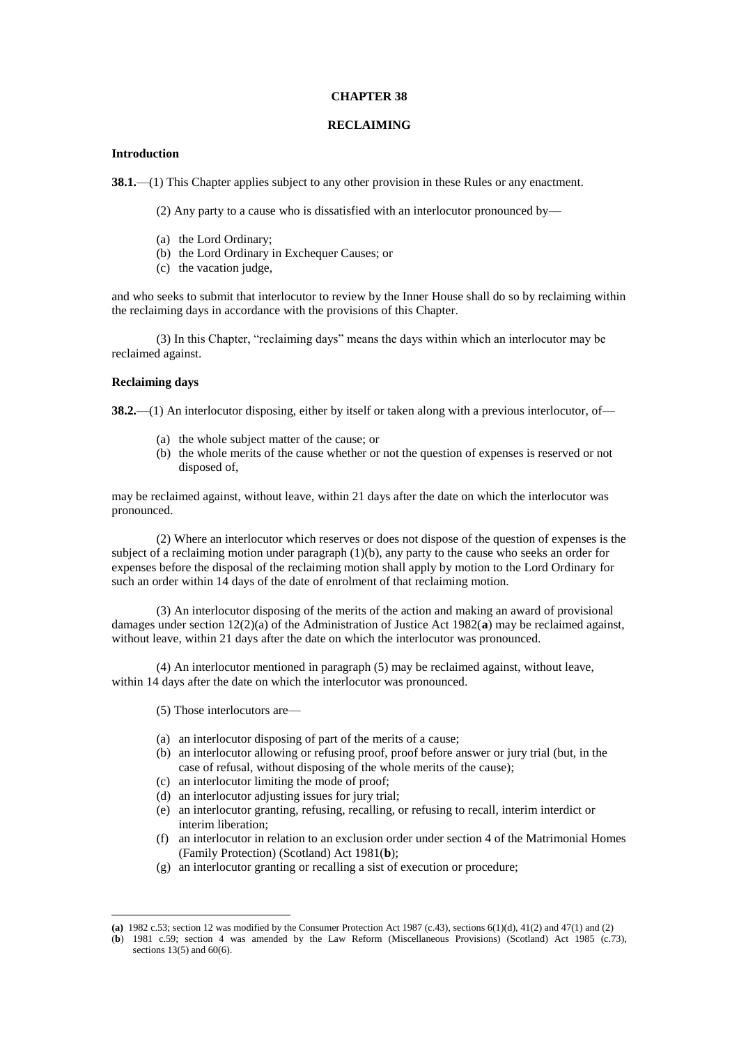#### **CHAPTER 38**

#### **RECLAIMING**

## **Introduction**

**38.1.**—(1) This Chapter applies subject to any other provision in these Rules or any enactment.

(2) Any party to a cause who is dissatisfied with an interlocutor pronounced by—

- (a) the Lord Ordinary;
- (b) the Lord Ordinary in Exchequer Causes; or
- (c) the vacation judge,

and who seeks to submit that interlocutor to review by the Inner House shall do so by reclaiming within the reclaiming days in accordance with the provisions of this Chapter.

(3) In this Chapter, "reclaiming days" means the days within which an interlocutor may be reclaimed against.

#### **Reclaiming days**

1

**38.2.**—(1) An interlocutor disposing, either by itself or taken along with a previous interlocutor, of—

- (a) the whole subject matter of the cause; or
- (b) the whole merits of the cause whether or not the question of expenses is reserved or not disposed of,

may be reclaimed against, without leave, within 21 days after the date on which the interlocutor was pronounced.

(2) Where an interlocutor which reserves or does not dispose of the question of expenses is the subject of a reclaiming motion under paragraph  $(1)(b)$ , any party to the cause who seeks an order for expenses before the disposal of the reclaiming motion shall apply by motion to the Lord Ordinary for such an order within 14 days of the date of enrolment of that reclaiming motion.

(3) An interlocutor disposing of the merits of the action and making an award of provisional damages under section 12(2)(a) of the Administration of Justice Act 1982(**a**) may be reclaimed against, without leave, within 21 days after the date on which the interlocutor was pronounced.

(4) An interlocutor mentioned in paragraph (5) may be reclaimed against, without leave, within 14 days after the date on which the interlocutor was pronounced.

- (5) Those interlocutors are—
- (a) an interlocutor disposing of part of the merits of a cause;
- (b) an interlocutor allowing or refusing proof, proof before answer or jury trial (but, in the case of refusal, without disposing of the whole merits of the cause);
- (c) an interlocutor limiting the mode of proof;
- (d) an interlocutor adjusting issues for jury trial;
- (e) an interlocutor granting, refusing, recalling, or refusing to recall, interim interdict or interim liberation;
- (f) an interlocutor in relation to an exclusion order under section 4 of the Matrimonial Homes (Family Protection) (Scotland) Act 1981(**b**);
- (g) an interlocutor granting or recalling a sist of execution or procedure;

**<sup>(</sup>a)** 1982 c.53; section 12 was modified by the Consumer Protection Act 1987 (c.43), sections 6(1)(d), 41(2) and 47(1) and (2)

<sup>(</sup>**b**) 1981 c.59; section 4 was amended by the Law Reform (Miscellaneous Provisions) (Scotland) Act 1985 (c.73), sections 13(5) and 60(6).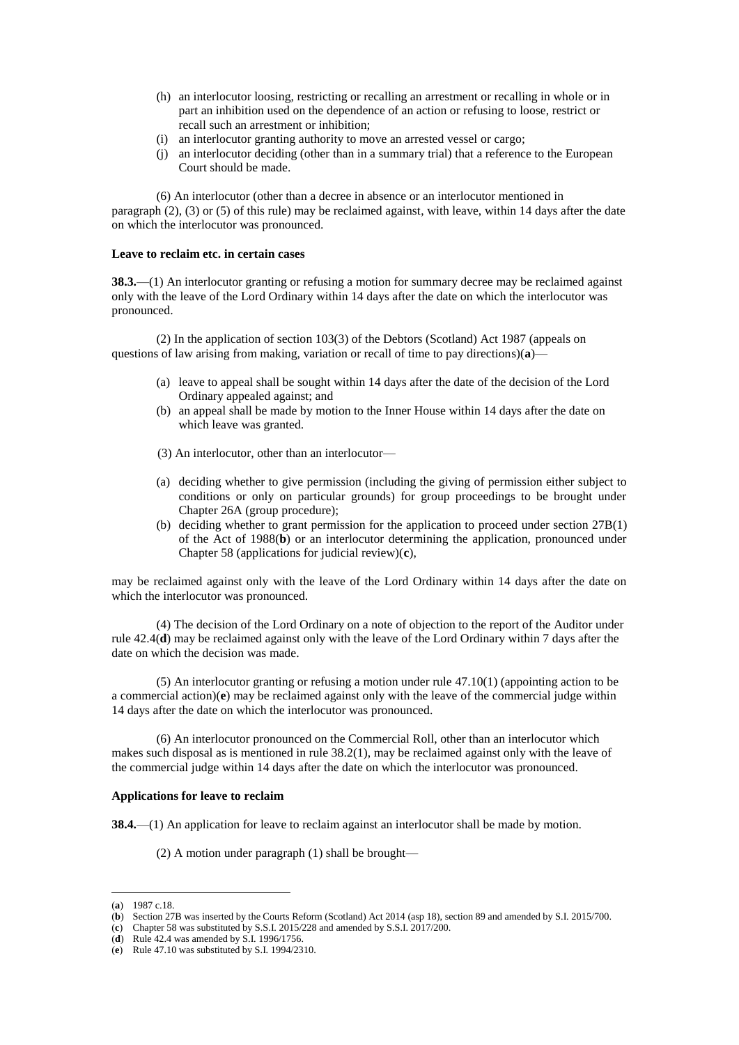- (h) an interlocutor loosing, restricting or recalling an arrestment or recalling in whole or in part an inhibition used on the dependence of an action or refusing to loose, restrict or recall such an arrestment or inhibition;
- (i) an interlocutor granting authority to move an arrested vessel or cargo;
- (j) an interlocutor deciding (other than in a summary trial) that a reference to the European Court should be made.

(6) An interlocutor (other than a decree in absence or an interlocutor mentioned in paragraph (2), (3) or (5) of this rule) may be reclaimed against, with leave, within 14 days after the date on which the interlocutor was pronounced.

#### **Leave to reclaim etc. in certain cases**

**38.3.**—(1) An interlocutor granting or refusing a motion for summary decree may be reclaimed against only with the leave of the Lord Ordinary within 14 days after the date on which the interlocutor was pronounced.

(2) In the application of section 103(3) of the Debtors (Scotland) Act 1987 (appeals on questions of law arising from making, variation or recall of time to pay directions)(**a**)—

- (a) leave to appeal shall be sought within 14 days after the date of the decision of the Lord Ordinary appealed against; and
- (b) an appeal shall be made by motion to the Inner House within 14 days after the date on which leave was granted.
- (3) An interlocutor, other than an interlocutor—
- (a) deciding whether to give permission (including the giving of permission either subject to conditions or only on particular grounds) for group proceedings to be brought under Chapter 26A (group procedure);
- (b) deciding whether to grant permission for the application to proceed under section 27B(1) of the Act of 1988(**b**) or an interlocutor determining the application, pronounced under Chapter 58 (applications for judicial review)(**c**),

may be reclaimed against only with the leave of the Lord Ordinary within 14 days after the date on which the interlocutor was pronounced.

(4) The decision of the Lord Ordinary on a note of objection to the report of the Auditor under rule 42.4(**d**) may be reclaimed against only with the leave of the Lord Ordinary within 7 days after the date on which the decision was made.

(5) An interlocutor granting or refusing a motion under rule 47.10(1) (appointing action to be a commercial action)(**e**) may be reclaimed against only with the leave of the commercial judge within 14 days after the date on which the interlocutor was pronounced.

(6) An interlocutor pronounced on the Commercial Roll, other than an interlocutor which makes such disposal as is mentioned in rule 38.2(1), may be reclaimed against only with the leave of the commercial judge within 14 days after the date on which the interlocutor was pronounced.

#### **Applications for leave to reclaim**

**38.4.**—(1) An application for leave to reclaim against an interlocutor shall be made by motion.

(2) A motion under paragraph (1) shall be brought—

1

<sup>(</sup>**a**) 1987 c.18.

<sup>(</sup>**b**) Section 27B was inserted by the Courts Reform (Scotland) Act 2014 (asp 18), section 89 and amended by S.I. 2015/700.

<sup>(</sup>**c**) Chapter 58 was substituted by S.S.I. 2015/228 and amended by S.S.I. 2017/200.

<sup>(</sup>**d**) Rule 42.4 was amended by S.I. 1996/1756.

<sup>(</sup>**e**) Rule 47.10 was substituted by S.I. 1994/2310.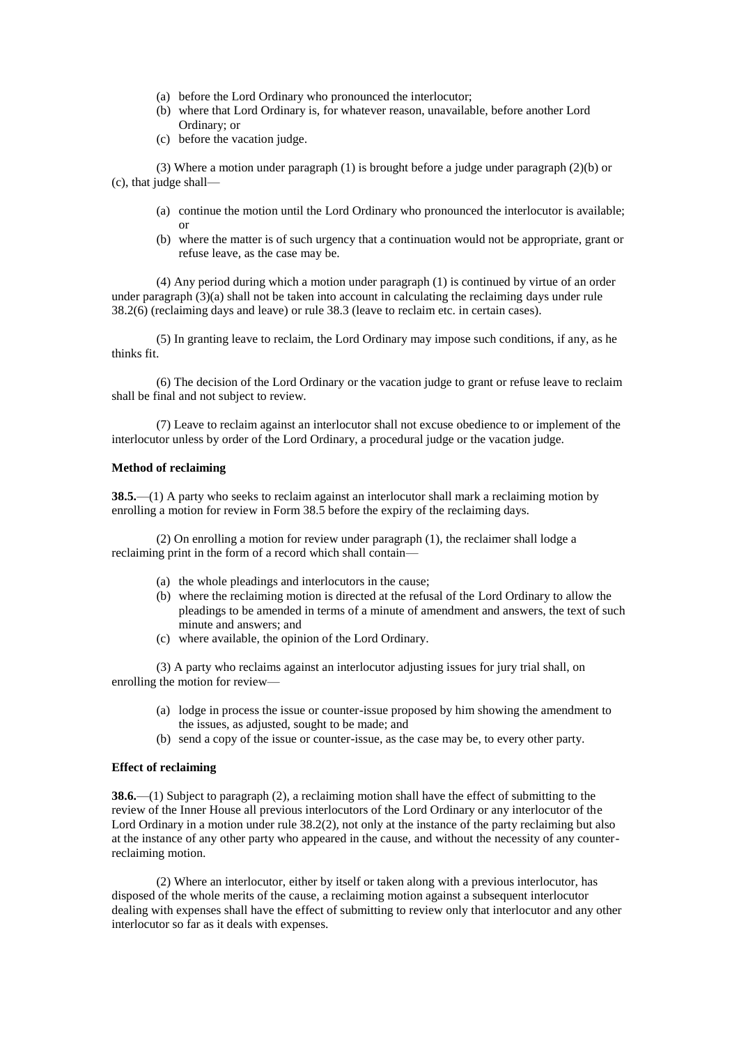- (a) before the Lord Ordinary who pronounced the interlocutor;
- (b) where that Lord Ordinary is, for whatever reason, unavailable, before another Lord Ordinary; or
- (c) before the vacation judge.

(3) Where a motion under paragraph (1) is brought before a judge under paragraph (2)(b) or (c), that judge shall—

- (a) continue the motion until the Lord Ordinary who pronounced the interlocutor is available; or
- (b) where the matter is of such urgency that a continuation would not be appropriate, grant or refuse leave, as the case may be.

(4) Any period during which a motion under paragraph (1) is continued by virtue of an order under paragraph  $(3)(a)$  shall not be taken into account in calculating the reclaiming days under rule 38.2(6) (reclaiming days and leave) or rule 38.3 (leave to reclaim etc. in certain cases).

(5) In granting leave to reclaim, the Lord Ordinary may impose such conditions, if any, as he thinks fit.

(6) The decision of the Lord Ordinary or the vacation judge to grant or refuse leave to reclaim shall be final and not subject to review.

(7) Leave to reclaim against an interlocutor shall not excuse obedience to or implement of the interlocutor unless by order of the Lord Ordinary, a procedural judge or the vacation judge.

## **Method of reclaiming**

**38.5.**—(1) A party who seeks to reclaim against an interlocutor shall mark a reclaiming motion by enrolling a motion for review in Form 38.5 before the expiry of the reclaiming days.

(2) On enrolling a motion for review under paragraph (1), the reclaimer shall lodge a reclaiming print in the form of a record which shall contain—

- (a) the whole pleadings and interlocutors in the cause;
- (b) where the reclaiming motion is directed at the refusal of the Lord Ordinary to allow the pleadings to be amended in terms of a minute of amendment and answers, the text of such minute and answers; and
- (c) where available, the opinion of the Lord Ordinary.

(3) A party who reclaims against an interlocutor adjusting issues for jury trial shall, on enrolling the motion for review—

- (a) lodge in process the issue or counter-issue proposed by him showing the amendment to the issues, as adjusted, sought to be made; and
- (b) send a copy of the issue or counter-issue, as the case may be, to every other party.

# **Effect of reclaiming**

**38.6.**—(1) Subject to paragraph (2), a reclaiming motion shall have the effect of submitting to the review of the Inner House all previous interlocutors of the Lord Ordinary or any interlocutor of the Lord Ordinary in a motion under rule 38.2(2), not only at the instance of the party reclaiming but also at the instance of any other party who appeared in the cause, and without the necessity of any counterreclaiming motion.

(2) Where an interlocutor, either by itself or taken along with a previous interlocutor, has disposed of the whole merits of the cause, a reclaiming motion against a subsequent interlocutor dealing with expenses shall have the effect of submitting to review only that interlocutor and any other interlocutor so far as it deals with expenses.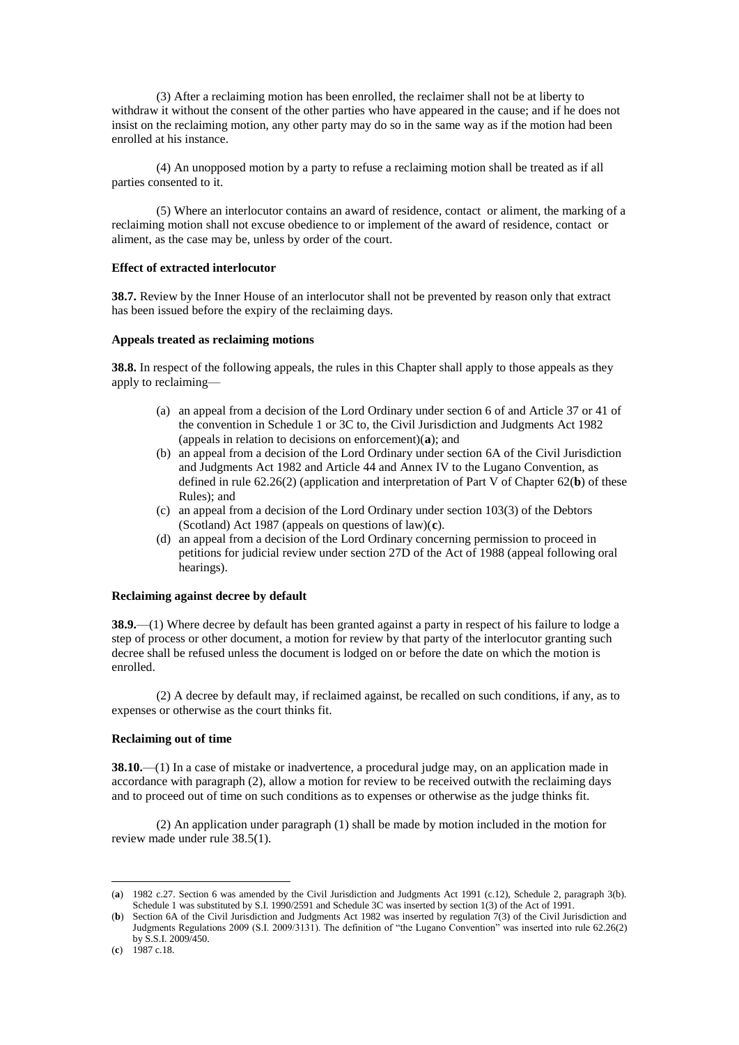(3) After a reclaiming motion has been enrolled, the reclaimer shall not be at liberty to withdraw it without the consent of the other parties who have appeared in the cause; and if he does not insist on the reclaiming motion, any other party may do so in the same way as if the motion had been enrolled at his instance.

(4) An unopposed motion by a party to refuse a reclaiming motion shall be treated as if all parties consented to it.

(5) Where an interlocutor contains an award of residence, contact or aliment, the marking of a reclaiming motion shall not excuse obedience to or implement of the award of residence, contact or aliment, as the case may be, unless by order of the court.

### **Effect of extracted interlocutor**

**38.7.** Review by the Inner House of an interlocutor shall not be prevented by reason only that extract has been issued before the expiry of the reclaiming days.

## **Appeals treated as reclaiming motions**

**38.8.** In respect of the following appeals, the rules in this Chapter shall apply to those appeals as they apply to reclaiming—

- (a) an appeal from a decision of the Lord Ordinary under section 6 of and Article 37 or 41 of the convention in Schedule 1 or 3C to, the Civil Jurisdiction and Judgments Act 1982 (appeals in relation to decisions on enforcement)(**a**); and
- (b) an appeal from a decision of the Lord Ordinary under section 6A of the Civil Jurisdiction and Judgments Act 1982 and Article 44 and Annex IV to the Lugano Convention, as defined in rule 62.26(2) (application and interpretation of Part V of Chapter 62(**b**) of these Rules); and
- (c) an appeal from a decision of the Lord Ordinary under section 103(3) of the Debtors (Scotland) Act 1987 (appeals on questions of law)(**c**).
- (d) an appeal from a decision of the Lord Ordinary concerning permission to proceed in petitions for judicial review under section 27D of the Act of 1988 (appeal following oral hearings).

### **Reclaiming against decree by default**

**38.9.**—(1) Where decree by default has been granted against a party in respect of his failure to lodge a step of process or other document, a motion for review by that party of the interlocutor granting such decree shall be refused unless the document is lodged on or before the date on which the motion is enrolled.

(2) A decree by default may, if reclaimed against, be recalled on such conditions, if any, as to expenses or otherwise as the court thinks fit.

### **Reclaiming out of time**

**38.10.**—(1) In a case of mistake or inadvertence, a procedural judge may, on an application made in accordance with paragraph (2), allow a motion for review to be received outwith the reclaiming days and to proceed out of time on such conditions as to expenses or otherwise as the judge thinks fit.

(2) An application under paragraph (1) shall be made by motion included in the motion for review made under rule 38.5(1).

1

<sup>(</sup>**a**) 1982 c.27. Section 6 was amended by the Civil Jurisdiction and Judgments Act 1991 (c.12), Schedule 2, paragraph 3(b). Schedule 1 was substituted by S.I. 1990/2591 and Schedule 3C was inserted by section 1(3) of the Act of 1991.

<sup>(</sup>**b**) Section 6A of the Civil Jurisdiction and Judgments Act 1982 was inserted by regulation 7(3) of the Civil Jurisdiction and Judgments Regulations 2009 (S.I. 2009/3131). The definition of "the Lugano Convention" was inserted into rule 62.26(2) by S.S.I. 2009/450.

<sup>(</sup>**c**) 1987 c.18.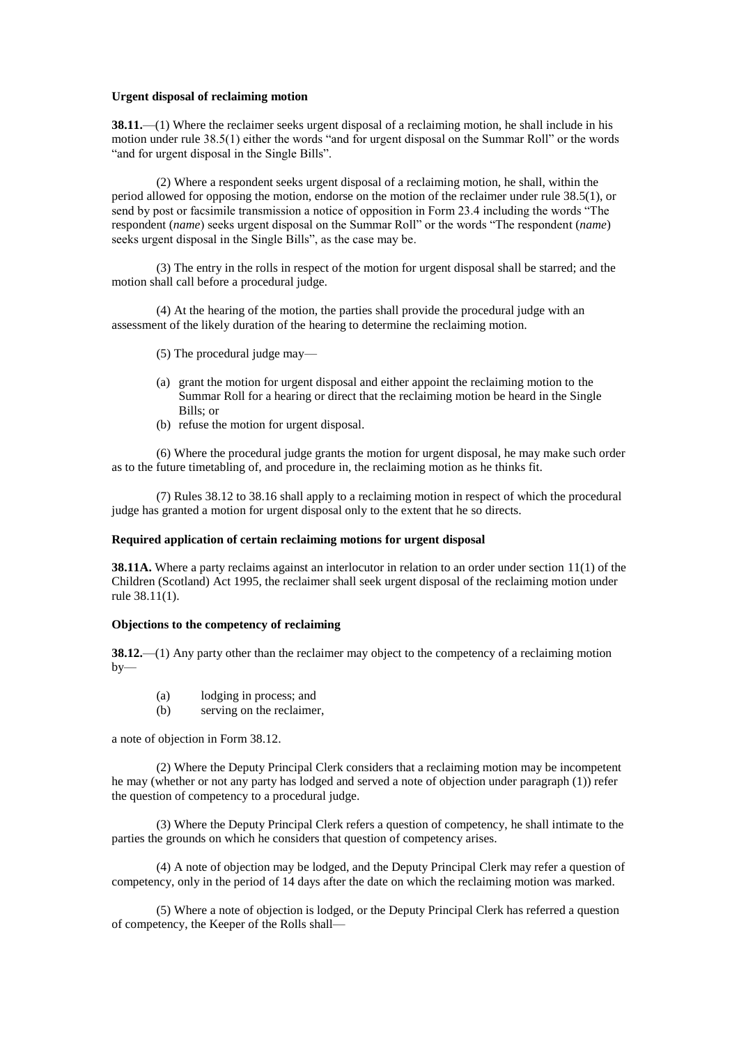### **Urgent disposal of reclaiming motion**

**38.11.**—(1) Where the reclaimer seeks urgent disposal of a reclaiming motion, he shall include in his motion under rule 38.5(1) either the words "and for urgent disposal on the Summar Roll" or the words "and for urgent disposal in the Single Bills".

(2) Where a respondent seeks urgent disposal of a reclaiming motion, he shall, within the period allowed for opposing the motion, endorse on the motion of the reclaimer under rule 38.5(1), or send by post or facsimile transmission a notice of opposition in Form 23.4 including the words "The respondent (*name*) seeks urgent disposal on the Summar Roll" or the words "The respondent (*name*) seeks urgent disposal in the Single Bills", as the case may be.

(3) The entry in the rolls in respect of the motion for urgent disposal shall be starred; and the motion shall call before a procedural judge.

(4) At the hearing of the motion, the parties shall provide the procedural judge with an assessment of the likely duration of the hearing to determine the reclaiming motion.

- (5) The procedural judge may—
- (a) grant the motion for urgent disposal and either appoint the reclaiming motion to the Summar Roll for a hearing or direct that the reclaiming motion be heard in the Single Bills; or
- (b) refuse the motion for urgent disposal.

(6) Where the procedural judge grants the motion for urgent disposal, he may make such order as to the future timetabling of, and procedure in, the reclaiming motion as he thinks fit.

(7) Rules 38.12 to 38.16 shall apply to a reclaiming motion in respect of which the procedural judge has granted a motion for urgent disposal only to the extent that he so directs.

### **Required application of certain reclaiming motions for urgent disposal**

**38.11A.** Where a party reclaims against an interlocutor in relation to an order under section 11(1) of the Children (Scotland) Act 1995, the reclaimer shall seek urgent disposal of the reclaiming motion under rule 38.11(1).

# **Objections to the competency of reclaiming**

**38.12.**—(1) Any party other than the reclaimer may object to the competency of a reclaiming motion  $by-$ 

- (a) lodging in process; and
- (b) serving on the reclaimer,

a note of objection in Form 38.12.

(2) Where the Deputy Principal Clerk considers that a reclaiming motion may be incompetent he may (whether or not any party has lodged and served a note of objection under paragraph (1)) refer the question of competency to a procedural judge.

(3) Where the Deputy Principal Clerk refers a question of competency, he shall intimate to the parties the grounds on which he considers that question of competency arises.

(4) A note of objection may be lodged, and the Deputy Principal Clerk may refer a question of competency, only in the period of 14 days after the date on which the reclaiming motion was marked.

(5) Where a note of objection is lodged, or the Deputy Principal Clerk has referred a question of competency, the Keeper of the Rolls shall—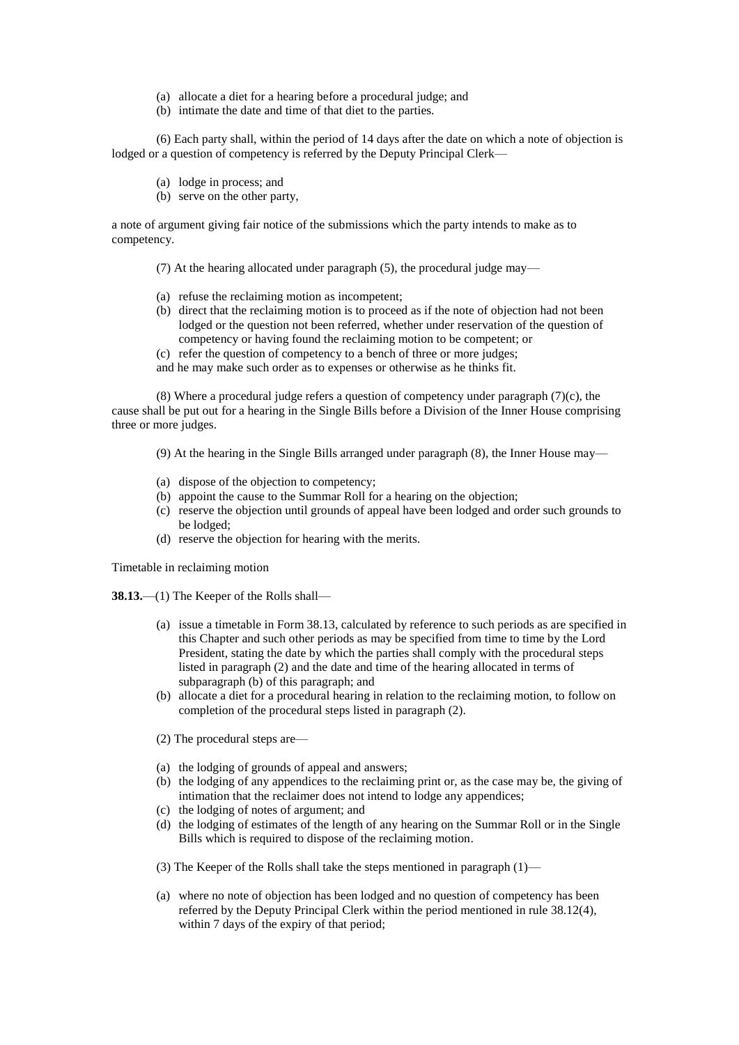- (a) allocate a diet for a hearing before a procedural judge; and
- (b) intimate the date and time of that diet to the parties.

(6) Each party shall, within the period of 14 days after the date on which a note of objection is lodged or a question of competency is referred by the Deputy Principal Clerk—

- (a) lodge in process; and
- (b) serve on the other party,

a note of argument giving fair notice of the submissions which the party intends to make as to competency.

(7) At the hearing allocated under paragraph (5), the procedural judge may—

- (a) refuse the reclaiming motion as incompetent;
- (b) direct that the reclaiming motion is to proceed as if the note of objection had not been lodged or the question not been referred, whether under reservation of the question of competency or having found the reclaiming motion to be competent; or
- (c) refer the question of competency to a bench of three or more judges;

and he may make such order as to expenses or otherwise as he thinks fit.

(8) Where a procedural judge refers a question of competency under paragraph  $(7)(c)$ , the cause shall be put out for a hearing in the Single Bills before a Division of the Inner House comprising three or more judges.

- (9) At the hearing in the Single Bills arranged under paragraph (8), the Inner House may—
- (a) dispose of the objection to competency;
- (b) appoint the cause to the Summar Roll for a hearing on the objection;
- (c) reserve the objection until grounds of appeal have been lodged and order such grounds to be lodged;
- (d) reserve the objection for hearing with the merits.

Timetable in reclaiming motion

**38.13.**—(1) The Keeper of the Rolls shall—

- (a) issue a timetable in Form 38.13, calculated by reference to such periods as are specified in this Chapter and such other periods as may be specified from time to time by the Lord President, stating the date by which the parties shall comply with the procedural steps listed in paragraph (2) and the date and time of the hearing allocated in terms of subparagraph (b) of this paragraph; and
- (b) allocate a diet for a procedural hearing in relation to the reclaiming motion, to follow on completion of the procedural steps listed in paragraph (2).
- (2) The procedural steps are—
- (a) the lodging of grounds of appeal and answers;
- (b) the lodging of any appendices to the reclaiming print or, as the case may be, the giving of intimation that the reclaimer does not intend to lodge any appendices;
- (c) the lodging of notes of argument; and
- (d) the lodging of estimates of the length of any hearing on the Summar Roll or in the Single Bills which is required to dispose of the reclaiming motion.
- (3) The Keeper of the Rolls shall take the steps mentioned in paragraph (1)—
- (a) where no note of objection has been lodged and no question of competency has been referred by the Deputy Principal Clerk within the period mentioned in rule 38.12(4), within 7 days of the expiry of that period;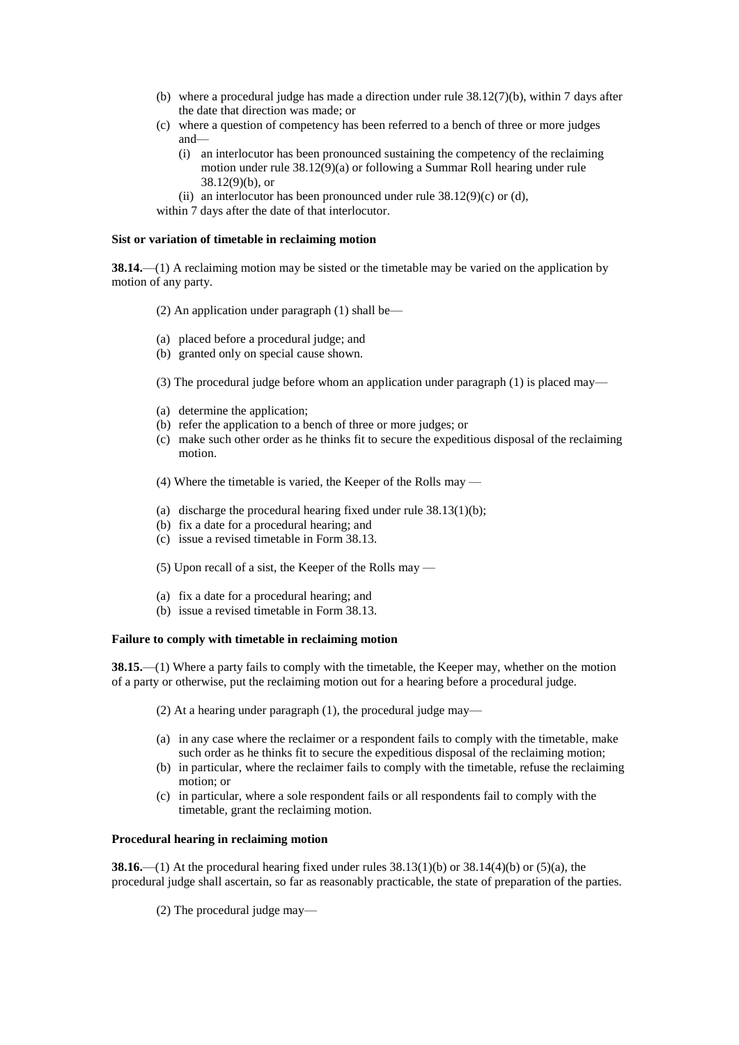- (b) where a procedural judge has made a direction under rule  $38.12(7)(b)$ , within 7 days after the date that direction was made; or
- (c) where a question of competency has been referred to a bench of three or more judges and—
	- (i) an interlocutor has been pronounced sustaining the competency of the reclaiming motion under rule 38.12(9)(a) or following a Summar Roll hearing under rule 38.12(9)(b), or
	- (ii) an interlocutor has been pronounced under rule  $38.12(9)(c)$  or (d),
- within 7 days after the date of that interlocutor.

### **Sist or variation of timetable in reclaiming motion**

**38.14.**—(1) A reclaiming motion may be sisted or the timetable may be varied on the application by motion of any party.

- (2) An application under paragraph (1) shall be—
- (a) placed before a procedural judge; and
- (b) granted only on special cause shown.
- (3) The procedural judge before whom an application under paragraph (1) is placed may—
- (a) determine the application;
- (b) refer the application to a bench of three or more judges; or
- (c) make such other order as he thinks fit to secure the expeditious disposal of the reclaiming motion.
- (4) Where the timetable is varied, the Keeper of the Rolls may —
- (a) discharge the procedural hearing fixed under rule  $38.13(1)(b)$ ;
- (b) fix a date for a procedural hearing; and
- (c) issue a revised timetable in Form 38.13.

(5) Upon recall of a sist, the Keeper of the Rolls may —

- (a) fix a date for a procedural hearing; and
- (b) issue a revised timetable in Form 38.13.

# **Failure to comply with timetable in reclaiming motion**

**38.15.**—(1) Where a party fails to comply with the timetable, the Keeper may, whether on the motion of a party or otherwise, put the reclaiming motion out for a hearing before a procedural judge.

- (2) At a hearing under paragraph (1), the procedural judge may—
- (a) in any case where the reclaimer or a respondent fails to comply with the timetable, make such order as he thinks fit to secure the expeditious disposal of the reclaiming motion;
- (b) in particular, where the reclaimer fails to comply with the timetable, refuse the reclaiming motion; or
- (c) in particular, where a sole respondent fails or all respondents fail to comply with the timetable, grant the reclaiming motion.

### **Procedural hearing in reclaiming motion**

**38.16.**—(1) At the procedural hearing fixed under rules  $38.13(1)(b)$  or  $38.14(4)(b)$  or  $(5)(a)$ , the procedural judge shall ascertain, so far as reasonably practicable, the state of preparation of the parties.

(2) The procedural judge may—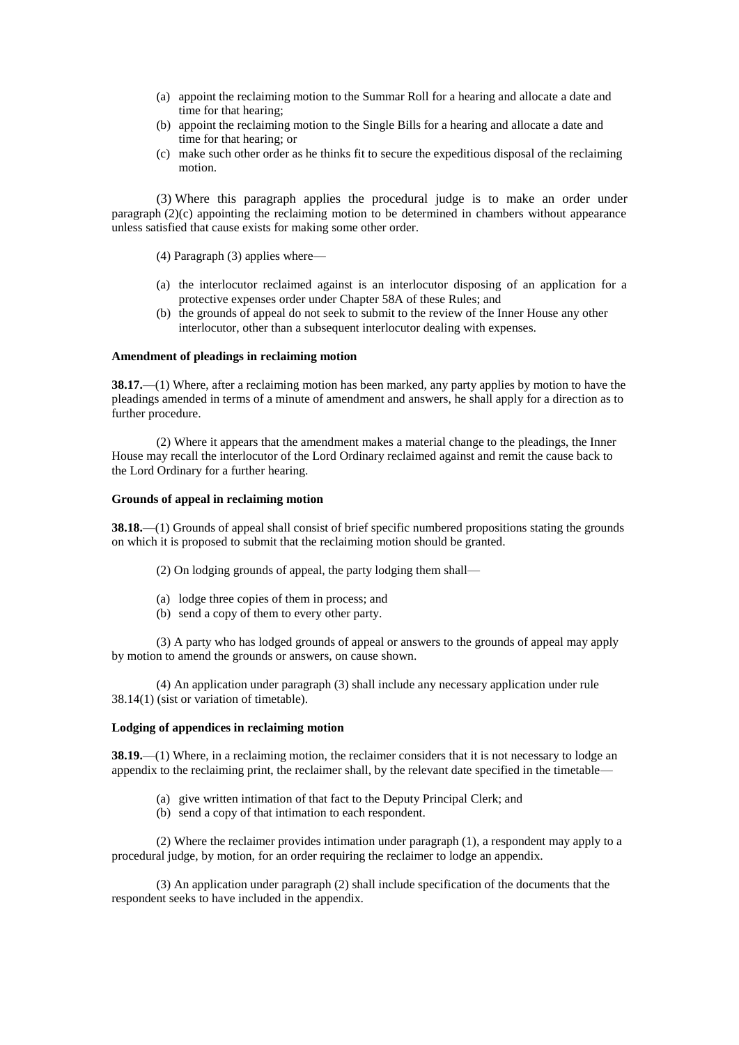- (a) appoint the reclaiming motion to the Summar Roll for a hearing and allocate a date and time for that hearing;
- (b) appoint the reclaiming motion to the Single Bills for a hearing and allocate a date and time for that hearing; or
- (c) make such other order as he thinks fit to secure the expeditious disposal of the reclaiming motion.

(3) Where this paragraph applies the procedural judge is to make an order under paragraph (2)(c) appointing the reclaiming motion to be determined in chambers without appearance unless satisfied that cause exists for making some other order.

(4) Paragraph (3) applies where—

- (a) the interlocutor reclaimed against is an interlocutor disposing of an application for a protective expenses order under Chapter 58A of these Rules; and
- (b) the grounds of appeal do not seek to submit to the review of the Inner House any other interlocutor, other than a subsequent interlocutor dealing with expenses.

#### **Amendment of pleadings in reclaiming motion**

**38.17.**—(1) Where, after a reclaiming motion has been marked, any party applies by motion to have the pleadings amended in terms of a minute of amendment and answers, he shall apply for a direction as to further procedure.

(2) Where it appears that the amendment makes a material change to the pleadings, the Inner House may recall the interlocutor of the Lord Ordinary reclaimed against and remit the cause back to the Lord Ordinary for a further hearing.

### **Grounds of appeal in reclaiming motion**

**38.18.**—(1) Grounds of appeal shall consist of brief specific numbered propositions stating the grounds on which it is proposed to submit that the reclaiming motion should be granted.

(2) On lodging grounds of appeal, the party lodging them shall—

- (a) lodge three copies of them in process; and
- (b) send a copy of them to every other party.

(3) A party who has lodged grounds of appeal or answers to the grounds of appeal may apply by motion to amend the grounds or answers, on cause shown.

(4) An application under paragraph (3) shall include any necessary application under rule 38.14(1) (sist or variation of timetable).

### **Lodging of appendices in reclaiming motion**

**38.19.**—(1) Where, in a reclaiming motion, the reclaimer considers that it is not necessary to lodge an appendix to the reclaiming print, the reclaimer shall, by the relevant date specified in the timetable—

- (a) give written intimation of that fact to the Deputy Principal Clerk; and
- (b) send a copy of that intimation to each respondent.

(2) Where the reclaimer provides intimation under paragraph (1), a respondent may apply to a procedural judge, by motion, for an order requiring the reclaimer to lodge an appendix.

(3) An application under paragraph (2) shall include specification of the documents that the respondent seeks to have included in the appendix.